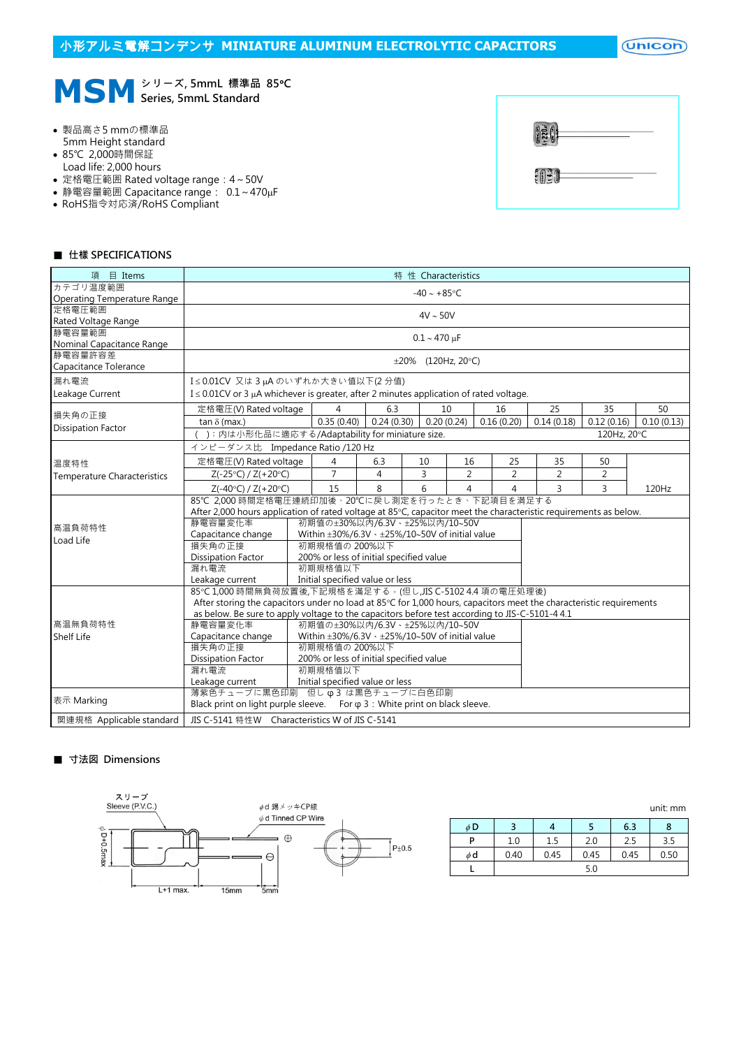$($ Unicon $)$ 

# MSM  $\sum_{\text{Series, 5mmL standard}}$ Series, 5mmL Standard

- 製品高さ5 mmの標準品 5mm Height standard
- 85℃ 2,000時間保証
- Load life: 2,000 hours
- 定格電圧範囲 Rated voltage range:4~50V
- 静電容量範囲 Capacitance range: 0.1~470µF
- RoHS指令対応済/RoHS Compliant

| $\frac{1}{2}$ |  |
|---------------|--|
| ē@€@          |  |

#### ■ 仕樣 SPECIFICATIONS

| 項 目 Items                                           | 特 性 Characteristics                                                                                                 |                                                                      |                                         |                |  |                   |                          |  |                |  |                |                |            |
|-----------------------------------------------------|---------------------------------------------------------------------------------------------------------------------|----------------------------------------------------------------------|-----------------------------------------|----------------|--|-------------------|--------------------------|--|----------------|--|----------------|----------------|------------|
| カテゴリ温度範囲                                            | $-40 \sim +85$ °C                                                                                                   |                                                                      |                                         |                |  |                   |                          |  |                |  |                |                |            |
| Operating Temperature Range                         |                                                                                                                     |                                                                      |                                         |                |  |                   |                          |  |                |  |                |                |            |
| 定格電圧範囲<br>Rated Voltage Range                       | $4V \sim 50V$                                                                                                       |                                                                      |                                         |                |  |                   |                          |  |                |  |                |                |            |
| 静電容量範囲                                              |                                                                                                                     |                                                                      |                                         |                |  |                   |                          |  |                |  |                |                |            |
| Nominal Capacitance Range                           |                                                                                                                     |                                                                      |                                         |                |  | $0.1 - 470 \mu F$ |                          |  |                |  |                |                |            |
| 静電容量許容差                                             |                                                                                                                     |                                                                      |                                         |                |  |                   | $\pm 20\%$ (120Hz, 20°C) |  |                |  |                |                |            |
| Capacitance Tolerance                               |                                                                                                                     |                                                                      |                                         |                |  |                   |                          |  |                |  |                |                |            |
| 漏れ電流                                                | I≤0.01CV 又は3µAのいずれか大きい値以下(2分値)                                                                                      |                                                                      |                                         |                |  |                   |                          |  |                |  |                |                |            |
| Leakage Current                                     | $I \leq 0.01$ CV or 3 µA whichever is greater, after 2 minutes application of rated voltage.                        |                                                                      |                                         |                |  |                   |                          |  |                |  |                |                |            |
| 損失角の正接                                              | 定格電圧(V) Rated voltage                                                                                               |                                                                      |                                         | 6.3            |  |                   | 10                       |  | 16             |  | 25             | 35             | 50         |
|                                                     | tan $\delta$ (max.)                                                                                                 |                                                                      | 0.35(0.40)                              | 0.24(0.30)     |  |                   | 0.20(0.24)               |  | 0.16(0.20)     |  | 0.14(0.18)     | 0.12(0.16)     | 0.10(0.13) |
| <b>Dissipation Factor</b>                           | ):内は小形化品に適応する/Adaptability for miniature size.                                                                      |                                                                      |                                         |                |  |                   |                          |  |                |  |                | 120Hz, 20°C    |            |
|                                                     | インピーダンス比 Impedance Ratio /120 Hz                                                                                    |                                                                      |                                         |                |  |                   |                          |  |                |  |                |                |            |
| 温度特性                                                | 定格電圧(V) Rated voltage                                                                                               |                                                                      | $\overline{4}$                          | 6.3            |  | 10                | 16                       |  | 25             |  | 35             | 50             |            |
| <b>Temperature Characteristics</b>                  | Z(-25°C) / Z(+20°C)                                                                                                 |                                                                      | $\overline{7}$                          | $\overline{4}$ |  | $\overline{3}$    | $\overline{2}$           |  | $\overline{2}$ |  | $\overline{c}$ | $\overline{2}$ |            |
|                                                     | $Z(-40^{\circ}C) / Z(+20^{\circ}C)$                                                                                 |                                                                      | 15                                      | 8              |  | 6                 | $\overline{4}$           |  | 4              |  | 3              | 3              | 120Hz      |
|                                                     | 85℃ 2,000 時間定格電圧連続印加後、20℃に戻し測定を行ったとき、下記項目を満足する                                                                      |                                                                      |                                         |                |  |                   |                          |  |                |  |                |                |            |
|                                                     | After 2,000 hours application of rated voltage at 85°C, capacitor meet the characteristic requirements as below.    |                                                                      |                                         |                |  |                   |                          |  |                |  |                |                |            |
| 高温負荷特性                                              | 静電容量変化率                                                                                                             |                                                                      | 初期値の±30%以内/6.3V、±25%以内/10~50V           |                |  |                   |                          |  |                |  |                |                |            |
| Load Life                                           | Within $\pm 30\%/6.3$ V $\cdot \pm 25\%/10$ ~50V of initial value<br>Capacitance change                             |                                                                      |                                         |                |  |                   |                          |  |                |  |                |                |            |
|                                                     | 損失角の正接<br>初期規格值の 200%以下                                                                                             |                                                                      |                                         |                |  |                   |                          |  |                |  |                |                |            |
|                                                     |                                                                                                                     | <b>Dissipation Factor</b><br>200% or less of initial specified value |                                         |                |  |                   |                          |  |                |  |                |                |            |
|                                                     | 漏れ電流                                                                                                                | 初期規格值以下                                                              |                                         |                |  |                   |                          |  |                |  |                |                |            |
|                                                     | Leakage current                                                                                                     |                                                                      | Initial specified value or less         |                |  |                   |                          |  |                |  |                |                |            |
|                                                     | 85℃1,000時間無負荷放置後,下記規格を滿足する。(但し,JIS C-5102 4.4 項の電圧処理後)                                                              |                                                                      |                                         |                |  |                   |                          |  |                |  |                |                |            |
|                                                     | After storing the capacitors under no load at 85°C for 1,000 hours, capacitors meet the characteristic requirements |                                                                      |                                         |                |  |                   |                          |  |                |  |                |                |            |
|                                                     | as below. Be sure to apply voltage to the capacitors before test according to JIS-C-5101-4 4.1                      |                                                                      |                                         |                |  |                   |                          |  |                |  |                |                |            |
| 高温無負荷特性<br>静電容量変化率<br>初期值の±30%以内/6.3V、±25%以内/10~50V |                                                                                                                     |                                                                      |                                         |                |  |                   |                          |  |                |  |                |                |            |
| <b>Shelf Life</b>                                   | Capacitance change<br>Within $\pm 30\%/6.3$ V $\cdot \pm 25\%/10$ ~50V of initial value                             |                                                                      |                                         |                |  |                   |                          |  |                |  |                |                |            |
|                                                     | 損失角の正接<br>初期規格值の 200%以下                                                                                             |                                                                      |                                         |                |  |                   |                          |  |                |  |                |                |            |
|                                                     | <b>Dissipation Factor</b>                                                                                           |                                                                      | 200% or less of initial specified value |                |  |                   |                          |  |                |  |                |                |            |
|                                                     | 初期規格值以下<br>漏れ電流                                                                                                     |                                                                      |                                         |                |  |                   |                          |  |                |  |                |                |            |
| Leakage current<br>Initial specified value or less  |                                                                                                                     |                                                                      |                                         |                |  |                   |                          |  |                |  |                |                |            |
|                                                     | 薄紫色チューブに黒色印刷 但し φ 3 は黒色チューブに白色印刷                                                                                    |                                                                      |                                         |                |  |                   |                          |  |                |  |                |                |            |
| 表示 Marking                                          | Black print on light purple sleeve. For $\varphi$ 3 : White print on black sleeve.                                  |                                                                      |                                         |                |  |                   |                          |  |                |  |                |                |            |
| 関連規格 Applicable standard                            | JIS C-5141 特性W Characteristics W of JIS C-5141                                                                      |                                                                      |                                         |                |  |                   |                          |  |                |  |                |                |            |

### ■ 寸法図 Dimensions



|    |      |      |      |      | unit: mm |
|----|------|------|------|------|----------|
| φD |      |      |      | 6.3  |          |
| D  | 1.0  | 1.5  | 2.0  | 2.5  | 3.5      |
| φd | 0.40 | 0.45 | 0.45 | 0.45 | 0.50     |
|    |      |      | 5.0  |      |          |